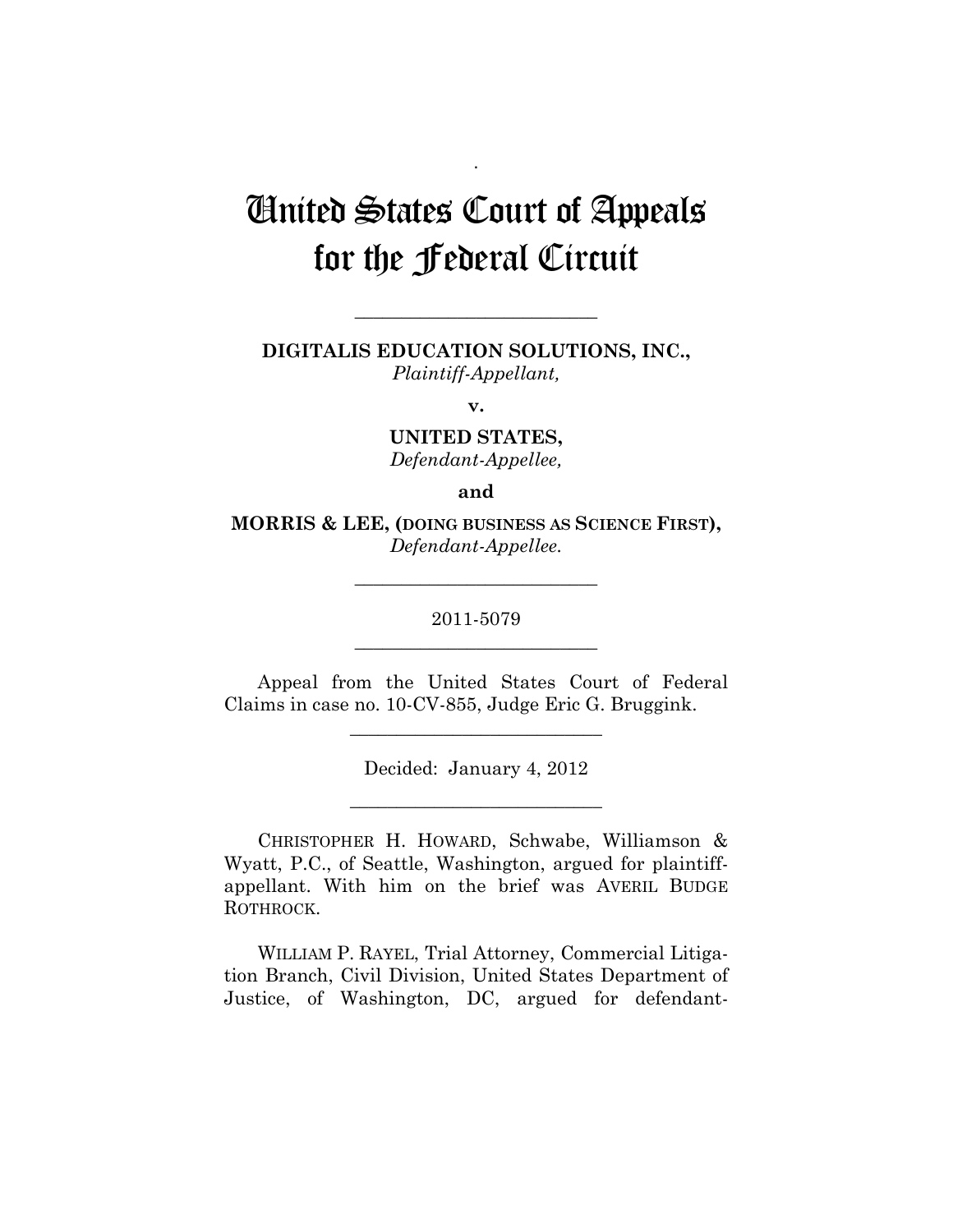## United States Court of Appeals for the Federal Circuit

.

**DIGITALIS EDUCATION SOLUTIONS, INC.,**  *Plaintiff-Appellant,* 

**\_\_\_\_\_\_\_\_\_\_\_\_\_\_\_\_\_\_\_\_\_\_\_\_\_\_** 

**v.** 

**UNITED STATES,**  *Defendant-Appellee,* 

**and** 

**MORRIS & LEE, (DOING BUSINESS AS SCIENCE FIRST),**  *Defendant-Appellee.* 

> 2011-5079 **\_\_\_\_\_\_\_\_\_\_\_\_\_\_\_\_\_\_\_\_\_\_\_\_\_\_**

> **\_\_\_\_\_\_\_\_\_\_\_\_\_\_\_\_\_\_\_\_\_\_\_\_\_\_**

Appeal from the United States Court of Federal Claims in case no. 10-CV-855, Judge Eric G. Bruggink.

**\_\_\_\_\_\_\_\_\_\_\_\_\_\_\_\_\_\_\_\_\_\_\_\_\_\_\_** 

Decided: January 4, 2012

**\_\_\_\_\_\_\_\_\_\_\_\_\_\_\_\_\_\_\_\_\_\_\_\_\_\_\_** 

CHRISTOPHER H. HOWARD, Schwabe, Williamson & Wyatt, P.C., of Seattle, Washington, argued for plaintiffappellant. With him on the brief was AVERIL BUDGE ROTHROCK.

WILLIAM P. RAYEL, Trial Attorney, Commercial Litigation Branch, Civil Division, United States Department of Justice, of Washington, DC, argued for defendant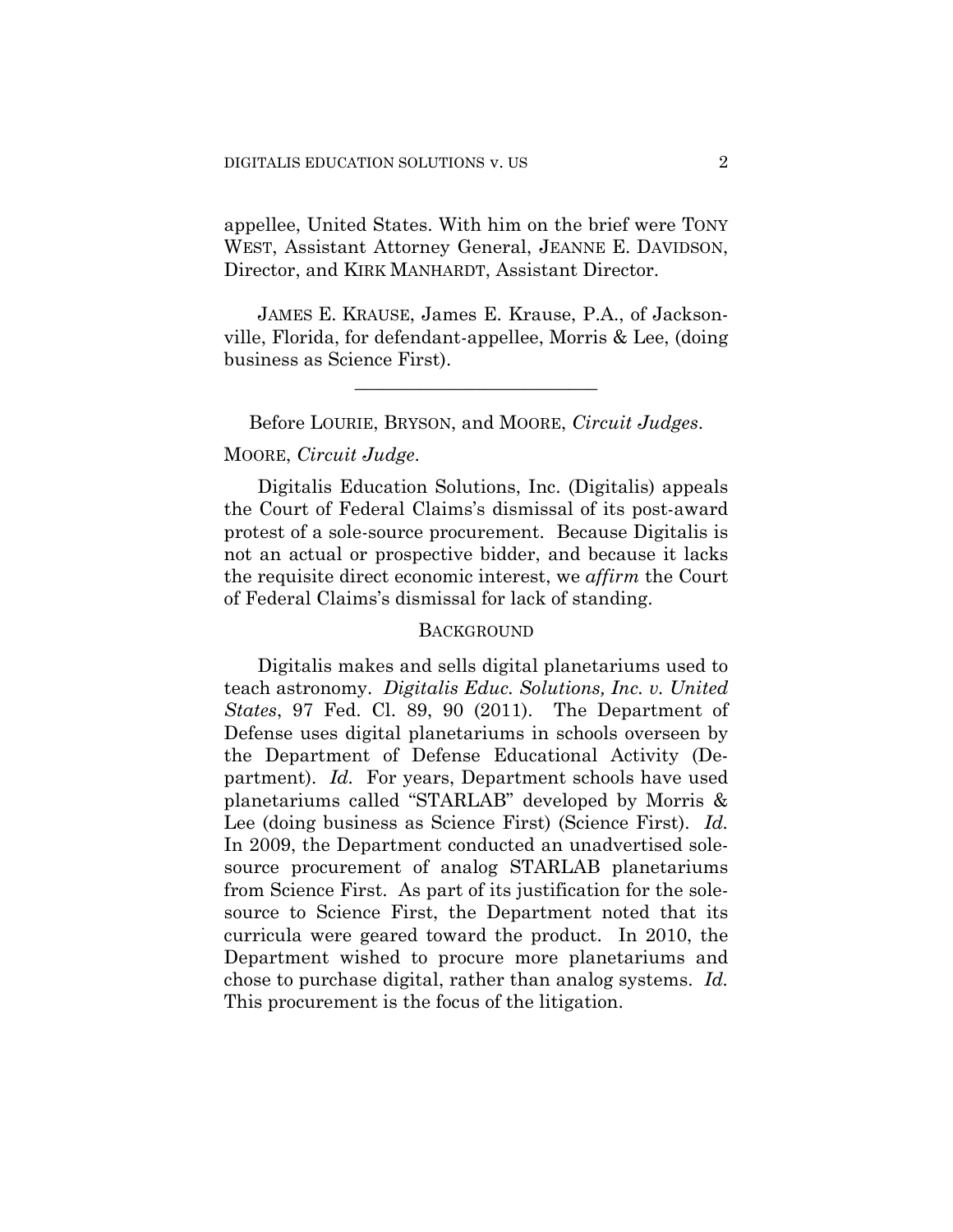appellee, United States. With him on the brief were TONY WEST, Assistant Attorney General, JEANNE E. DAVIDSON, Director, and KIRK MANHARDT, Assistant Director.

JAMES E. KRAUSE, James E. Krause, P.A., of Jacksonville, Florida, for defendant-appellee, Morris & Lee, (doing business as Science First).

**\_\_\_\_\_\_\_\_\_\_\_\_\_\_\_\_\_\_\_\_\_\_\_\_\_\_** 

Before LOURIE, BRYSON, and MOORE, *Circuit Judges*. MOORE, *Circuit Judge*.

Digitalis Education Solutions, Inc. (Digitalis) appeals the Court of Federal Claims's dismissal of its post-award protest of a sole-source procurement. Because Digitalis is not an actual or prospective bidder, and because it lacks the requisite direct economic interest, we *affirm* the Court of Federal Claims's dismissal for lack of standing.

## **BACKGROUND**

Digitalis makes and sells digital planetariums used to teach astronomy. *Digitalis Educ. Solutions, Inc. v. United States*, 97 Fed. Cl. 89, 90 (2011). The Department of Defense uses digital planetariums in schools overseen by the Department of Defense Educational Activity (Department). *Id.* For years, Department schools have used planetariums called "STARLAB" developed by Morris & Lee (doing business as Science First) (Science First). *Id.* In 2009, the Department conducted an unadvertised solesource procurement of analog STARLAB planetariums from Science First. As part of its justification for the solesource to Science First, the Department noted that its curricula were geared toward the product. In 2010, the Department wished to procure more planetariums and chose to purchase digital, rather than analog systems. *Id.* This procurement is the focus of the litigation.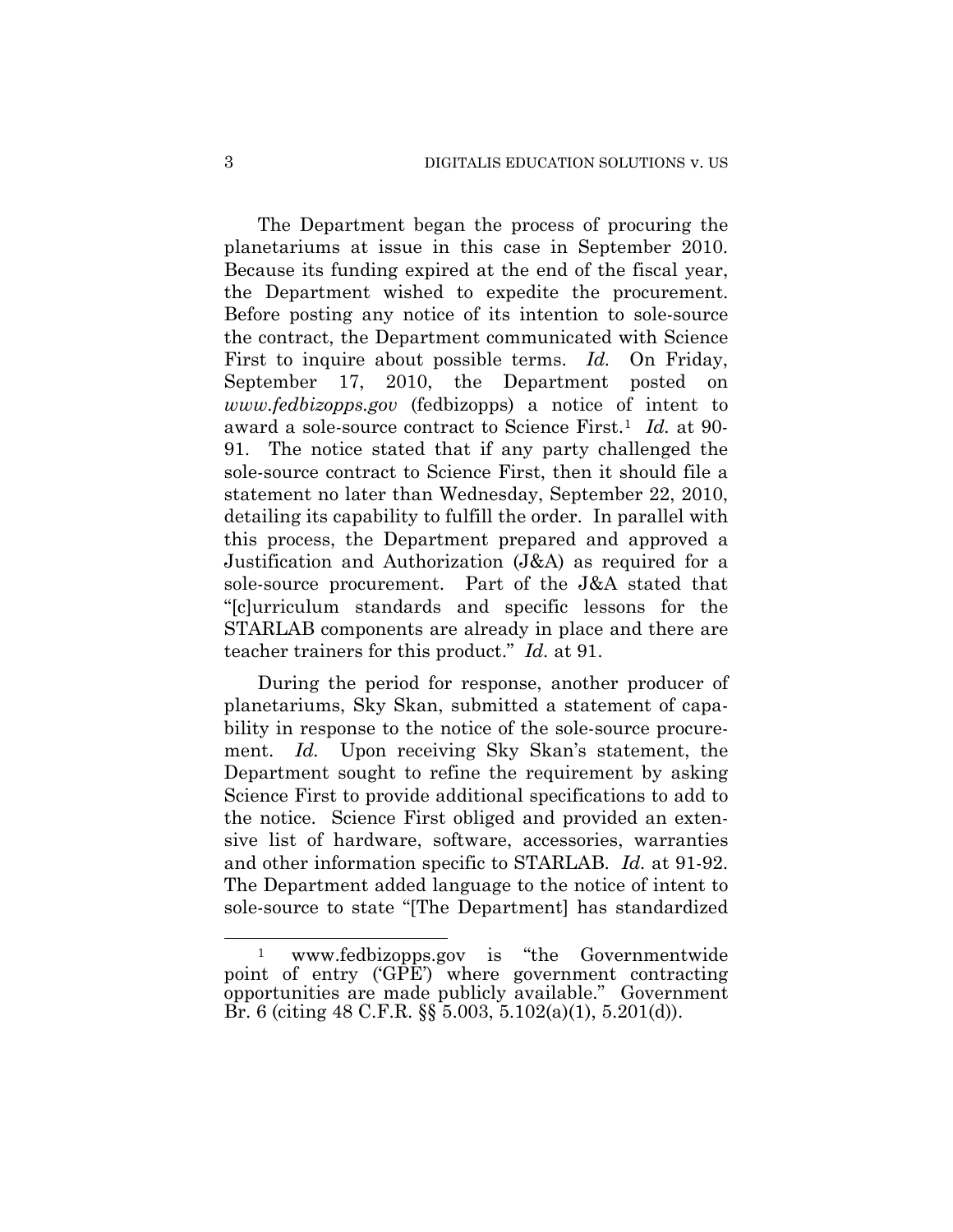The Department began the process of procuring the planetariums at issue in this case in September 2010. Because its funding expired at the end of the fiscal year, the Department wished to expedite the procurement. Before posting any notice of its intention to sole-source the contract, the Department communicated with Science First to inquire about possible terms. *Id.* On Friday, September 17, 2010, the Department posted on *[www.fedbizopps.gov](http://www.fedbizopps.gov/)* (fedbizopps) a notice of intent to award a sole-source contract to Science First.[1](#page-2-0) *Id.* at 90- 91. The notice stated that if any party challenged the sole-source contract to Science First, then it should file a statement no later than Wednesday, September 22, 2010, detailing its capability to fulfill the order. In parallel with this process, the Department prepared and approved a Justification and Authorization (J&A) as required for a sole-source procurement. Part of the J&A stated that "[c]urriculum standards and specific lessons for the STARLAB components are already in place and there are teacher trainers for this product." *Id.* at 91.

During the period for response, another producer of planetariums, Sky Skan, submitted a statement of capability in response to the notice of the sole-source procurement. *Id.* Upon receiving Sky Skan's statement, the Department sought to refine the requirement by asking Science First to provide additional specifications to add to the notice. Science First obliged and provided an extensive list of hardware, software, accessories, warranties and other information specific to STARLAB. *Id.* at 91-92. The Department added language to the notice of intent to sole-source to state "[The Department] has standardized

 $\overline{a}$ 

<span id="page-2-0"></span><sup>1</sup> www.fedbizopps.gov is "the Governmentwide point of entry ('GPE') where government contracting opportunities are made publicly available." Government Br. 6 (citing 48 C.F.R. §§ 5.003, 5.102(a)(1), 5.201(d)).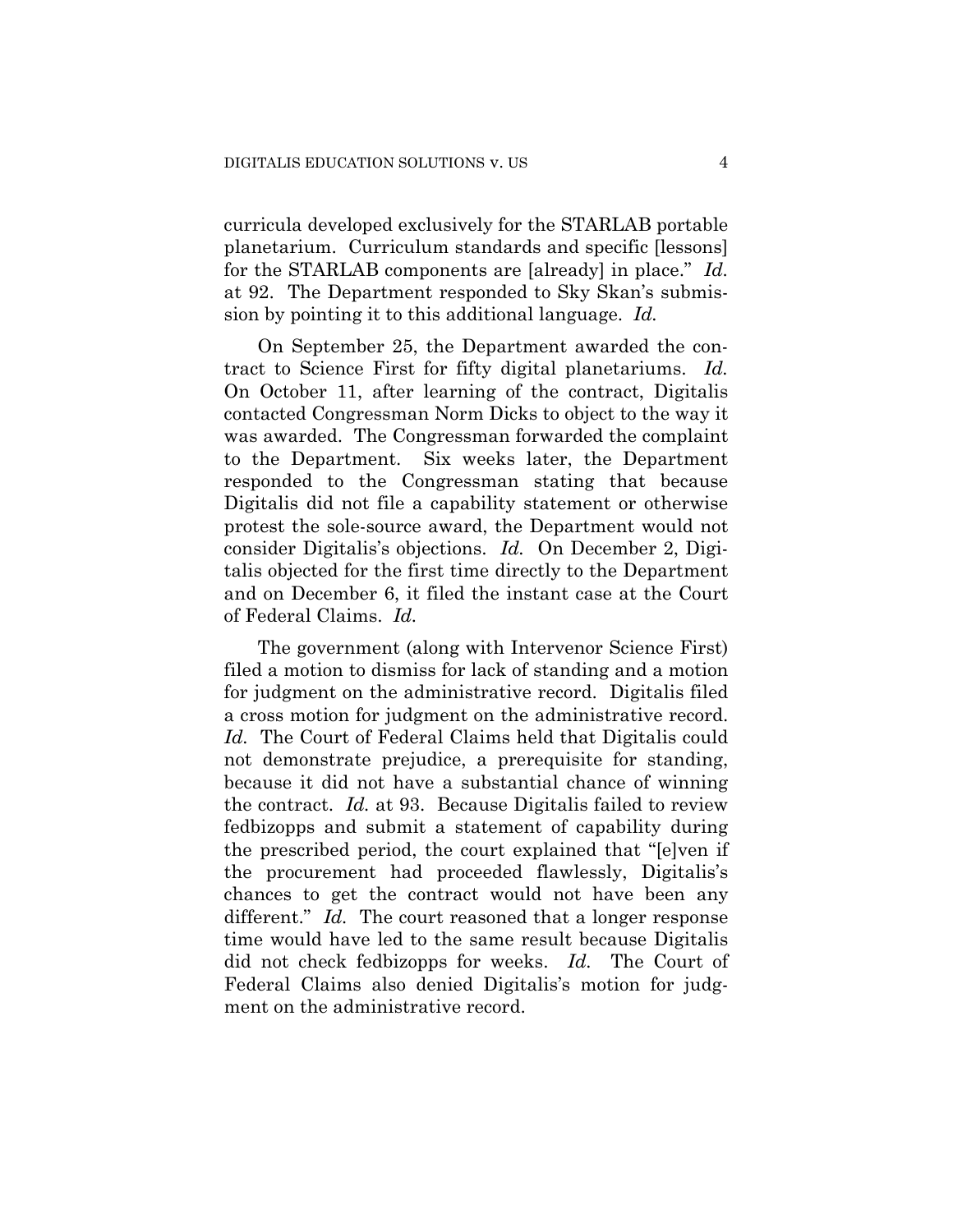curricula developed exclusively for the STARLAB portable planetarium. Curriculum standards and specific [lessons] for the STARLAB components are [already] in place." *Id.* at 92. The Department responded to Sky Skan's submission by pointing it to this additional language. *Id.*

On September 25, the Department awarded the contract to Science First for fifty digital planetariums. *Id.* On October 11, after learning of the contract, Digitalis contacted Congressman Norm Dicks to object to the way it was awarded. The Congressman forwarded the complaint to the Department. Six weeks later, the Department responded to the Congressman stating that because Digitalis did not file a capability statement or otherwise protest the sole-source award, the Department would not consider Digitalis's objections. *Id.* On December 2, Digitalis objected for the first time directly to the Department and on December 6, it filed the instant case at the Court of Federal Claims. *Id.*

The government (along with Intervenor Science First) filed a motion to dismiss for lack of standing and a motion for judgment on the administrative record. Digitalis filed a cross motion for judgment on the administrative record. *Id.* The Court of Federal Claims held that Digitalis could not demonstrate prejudice, a prerequisite for standing, because it did not have a substantial chance of winning the contract. *Id.* at 93. Because Digitalis failed to review fedbizopps and submit a statement of capability during the prescribed period, the court explained that "[e]ven if the procurement had proceeded flawlessly, Digitalis's chances to get the contract would not have been any different." *Id.* The court reasoned that a longer response time would have led to the same result because Digitalis did not check fedbizopps for weeks. *Id.* The Court of Federal Claims also denied Digitalis's motion for judgment on the administrative record.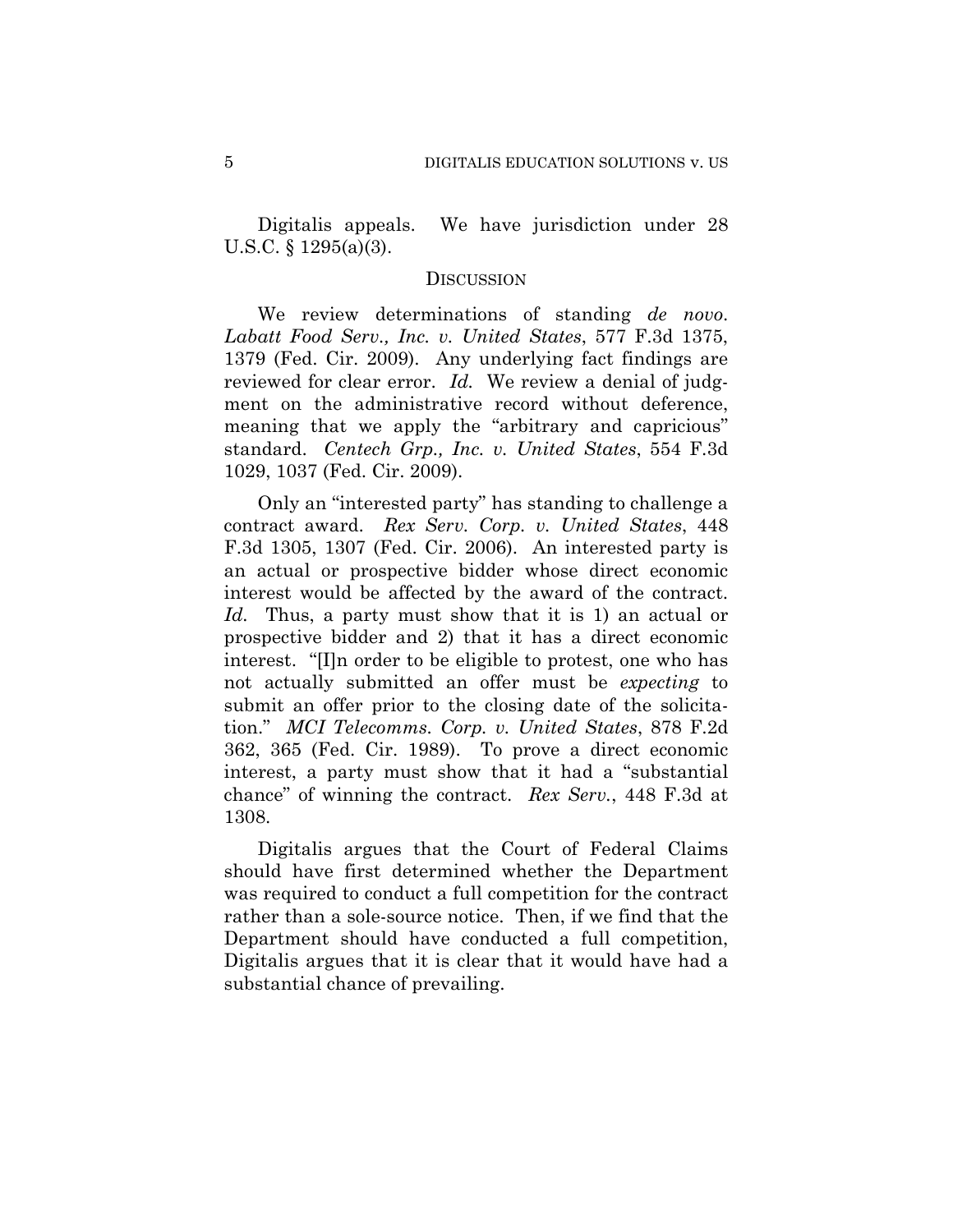Digitalis appeals. We have jurisdiction under 28 U.S.C. § 1295(a)(3).

## DISCUSSION

We review determinations of standing *de novo*. *Labatt Food Serv., Inc. v. United States*, 577 F.3d 1375, 1379 (Fed. Cir. 2009). Any underlying fact findings are reviewed for clear error. *Id.* We review a denial of judgment on the administrative record without deference, meaning that we apply the "arbitrary and capricious" standard. *Centech Grp., Inc. v. United States*, 554 F.3d 1029, 1037 (Fed. Cir. 2009).

Only an "interested party" has standing to challenge a contract award. *Rex Serv. Corp. v. United States*, 448 F.3d 1305, 1307 (Fed. Cir. 2006). An interested party is an actual or prospective bidder whose direct economic interest would be affected by the award of the contract. *Id.* Thus, a party must show that it is 1) an actual or prospective bidder and 2) that it has a direct economic interest. "[I]n order to be eligible to protest, one who has not actually submitted an offer must be *expecting* to submit an offer prior to the closing date of the solicitation." *MCI Telecomms. Corp. v. United States*, 878 F.2d 362, 365 (Fed. Cir. 1989). To prove a direct economic interest, a party must show that it had a "substantial chance" of winning the contract. *Rex Serv.*, 448 F.3d at 1308.

Digitalis argues that the Court of Federal Claims should have first determined whether the Department was required to conduct a full competition for the contract rather than a sole-source notice. Then, if we find that the Department should have conducted a full competition, Digitalis argues that it is clear that it would have had a substantial chance of prevailing.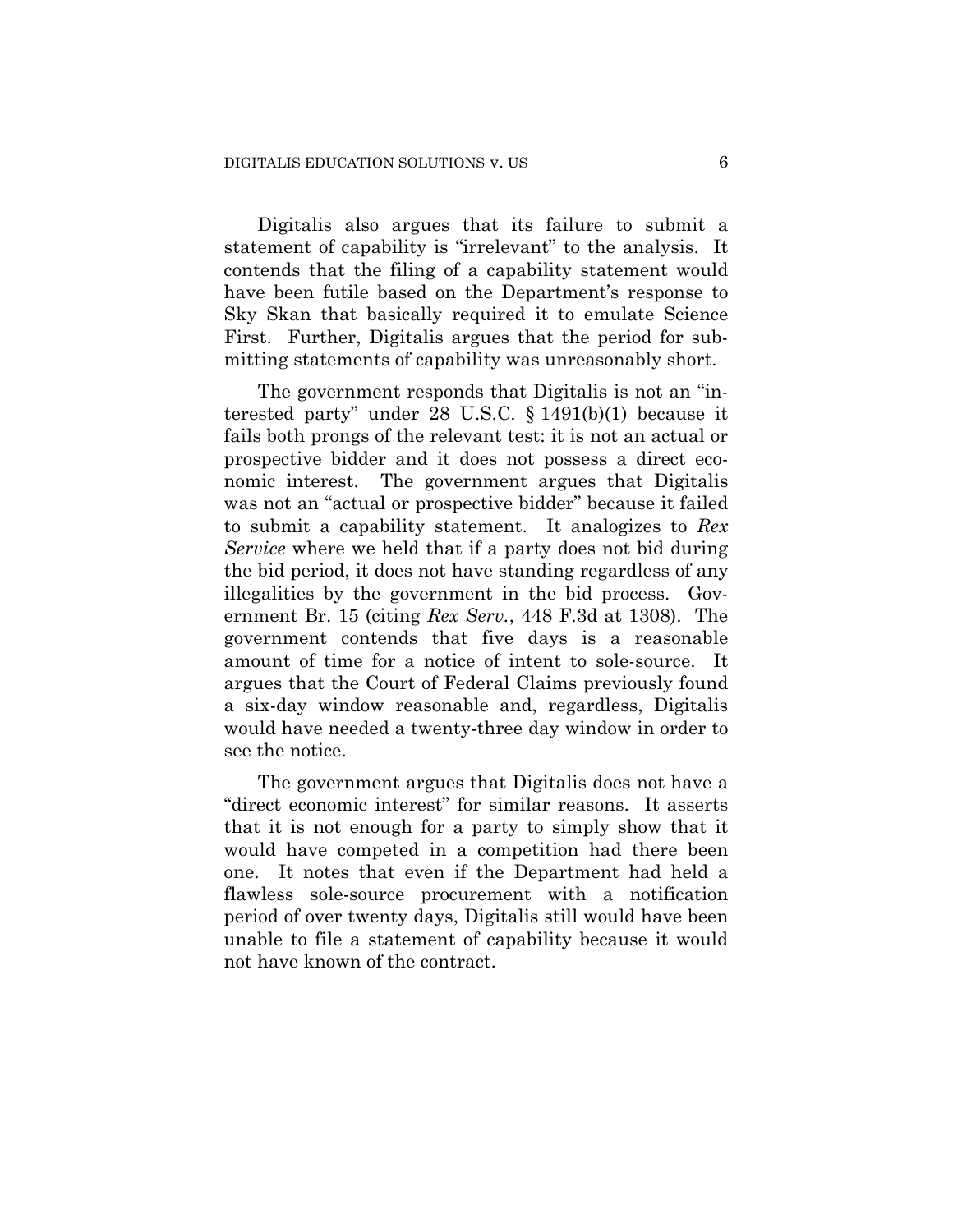Digitalis also argues that its failure to submit a statement of capability is "irrelevant" to the analysis. It contends that the filing of a capability statement would have been futile based on the Department's response to Sky Skan that basically required it to emulate Science First. Further, Digitalis argues that the period for submitting statements of capability was unreasonably short.

The government responds that Digitalis is not an "interested party" under 28 U.S.C. § 1491(b)(1) because it fails both prongs of the relevant test: it is not an actual or prospective bidder and it does not possess a direct economic interest. The government argues that Digitalis was not an "actual or prospective bidder" because it failed to submit a capability statement. It analogizes to *Rex Service* where we held that if a party does not bid during the bid period, it does not have standing regardless of any illegalities by the government in the bid process. Government Br. 15 (citing *Rex Serv.*, 448 F.3d at 1308). The government contends that five days is a reasonable amount of time for a notice of intent to sole-source. It argues that the Court of Federal Claims previously found a six-day window reasonable and, regardless, Digitalis would have needed a twenty-three day window in order to see the notice.

The government argues that Digitalis does not have a "direct economic interest" for similar reasons. It asserts that it is not enough for a party to simply show that it would have competed in a competition had there been one. It notes that even if the Department had held a flawless sole-source procurement with a notification period of over twenty days, Digitalis still would have been unable to file a statement of capability because it would not have known of the contract.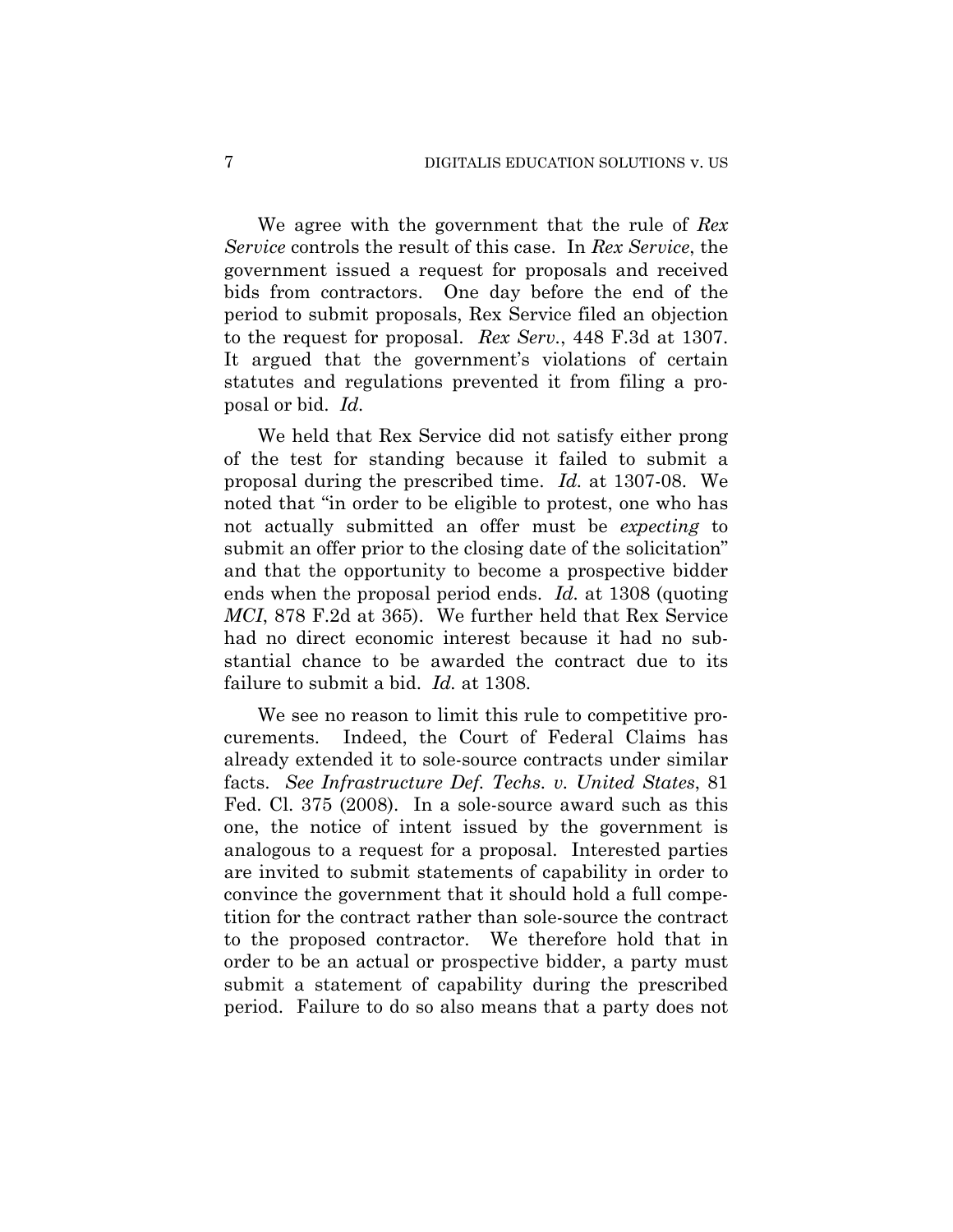We agree with the government that the rule of *Rex Service* controls the result of this case. In *Rex Service*, the government issued a request for proposals and received bids from contractors. One day before the end of the period to submit proposals, Rex Service filed an objection to the request for proposal. *Rex Serv.*, 448 F.3d at 1307. It argued that the government's violations of certain statutes and regulations prevented it from filing a proposal or bid. *Id.*

We held that Rex Service did not satisfy either prong of the test for standing because it failed to submit a proposal during the prescribed time. *Id.* at 1307-08. We noted that "in order to be eligible to protest, one who has not actually submitted an offer must be *expecting* to submit an offer prior to the closing date of the solicitation" and that the opportunity to become a prospective bidder ends when the proposal period ends. *Id.* at 1308 (quoting *MCI*, 878 F.2d at 365). We further held that Rex Service had no direct economic interest because it had no substantial chance to be awarded the contract due to its failure to submit a bid. *Id.* at 1308.

We see no reason to limit this rule to competitive procurements. Indeed, the Court of Federal Claims has already extended it to sole-source contracts under similar facts. *See Infrastructure Def. Techs. v. United States*, 81 Fed. Cl. 375 (2008). In a sole-source award such as this one, the notice of intent issued by the government is analogous to a request for a proposal. Interested parties are invited to submit statements of capability in order to convince the government that it should hold a full competition for the contract rather than sole-source the contract to the proposed contractor. We therefore hold that in order to be an actual or prospective bidder, a party must submit a statement of capability during the prescribed period. Failure to do so also means that a party does not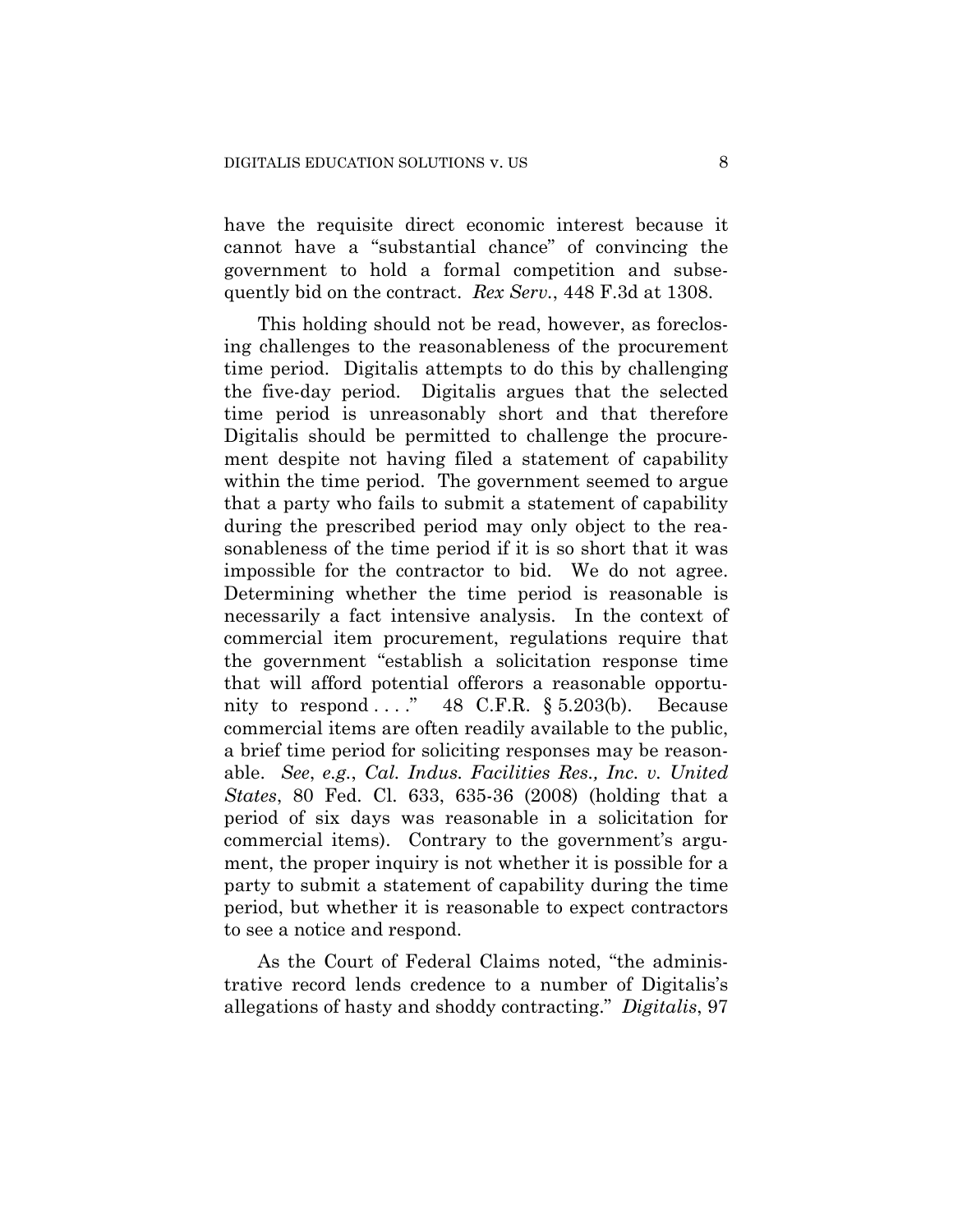have the requisite direct economic interest because it cannot have a "substantial chance" of convincing the government to hold a formal competition and subsequently bid on the contract. *Rex Serv.*, 448 F.3d at 1308.

This holding should not be read, however, as foreclosing challenges to the reasonableness of the procurement time period. Digitalis attempts to do this by challenging the five-day period. Digitalis argues that the selected time period is unreasonably short and that therefore Digitalis should be permitted to challenge the procurement despite not having filed a statement of capability within the time period. The government seemed to argue that a party who fails to submit a statement of capability during the prescribed period may only object to the reasonableness of the time period if it is so short that it was impossible for the contractor to bid. We do not agree. Determining whether the time period is reasonable is necessarily a fact intensive analysis. In the context of commercial item procurement, regulations require that the government "establish a solicitation response time that will afford potential offerors a reasonable opportunity to respond ...."  $48$  C.F.R. § 5.203(b). Because commercial items are often readily available to the public, a brief time period for soliciting responses may be reasonable. *See*, *e.g.*, *Cal. Indus. Facilities Res., Inc. v. United States*, 80 Fed. Cl. 633, 635-36 (2008) (holding that a period of six days was reasonable in a solicitation for commercial items). Contrary to the government's argument, the proper inquiry is not whether it is possible for a party to submit a statement of capability during the time period, but whether it is reasonable to expect contractors to see a notice and respond.

As the Court of Federal Claims noted, "the administrative record lends credence to a number of Digitalis's allegations of hasty and shoddy contracting." *Digitalis*, 97